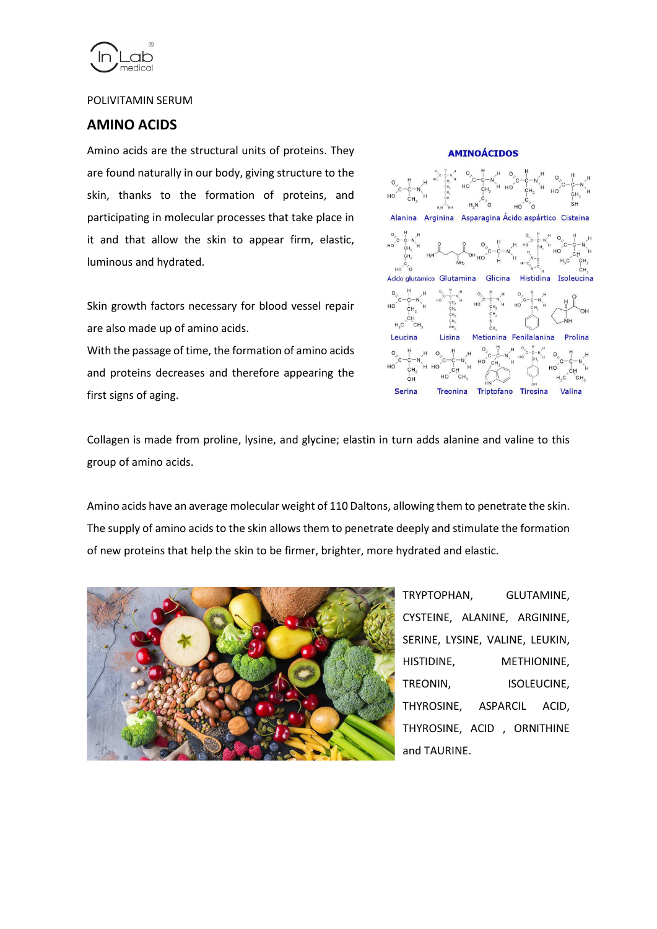

#### POLIVITAMIN SERUM

### **AMINO ACIDS**

Amino acids are the structural units of proteins. They are found naturally in our body, giving structure to the skin, thanks to the formation of proteins, and participating in molecular processes that take place in it and that allow the skin to appear firm, elastic, luminous and hydrated.

Skin growth factors necessary for blood vessel repair are also made up of amino acids.

With the passage of time, the formation of amino acids and proteins decreases and therefore appearing the first signs of aging.



Collagen is made from proline, lysine, and glycine; elastin in turn adds alanine and valine to this group of amino acids.

Amino acids have an average molecular weight of 110 Daltons, allowing them to penetrate the skin. The supply of amino acids to the skin allows them to penetrate deeply and stimulate the formation of new proteins that help the skin to be firmer, brighter, more hydrated and elastic.



TRYPTOPHAN, GLUTAMINE, CYSTEINE, ALANINE, ARGININE, SERINE, LYSINE, VALINE, LEUKIN, HISTIDINE, METHIONINE, TREONIN, ISOLEUCINE, THYROSINE, ASPARCIL ACID, THYROSINE, ACID , ORNITHINE and TAURINE.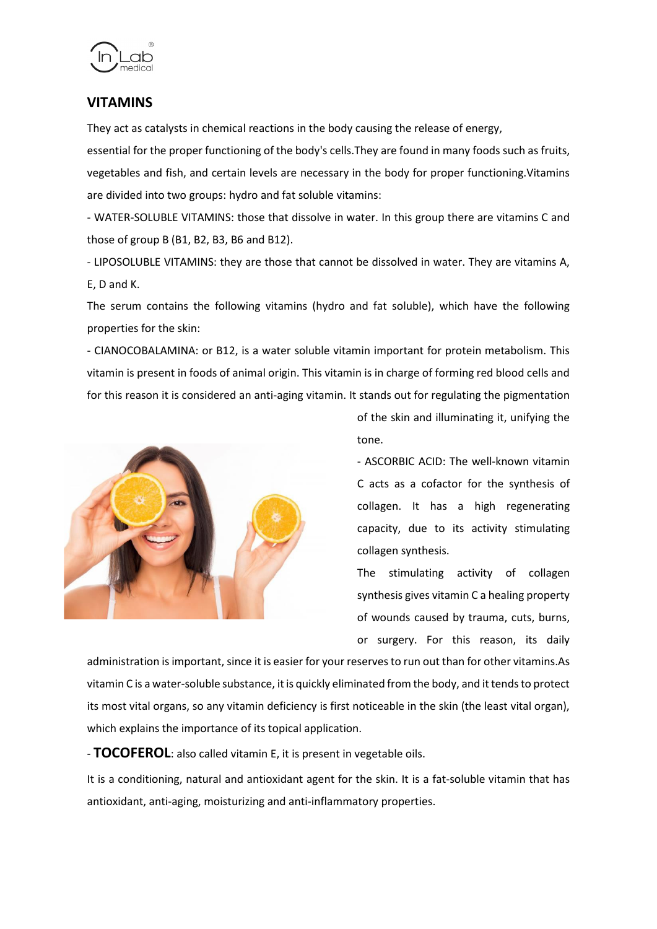

# **VITAMINS**

They act as catalysts in chemical reactions in the body causing the release of energy,

essential for the proper functioning of the body's cells.They are found in many foods such as fruits, vegetables and fish, and certain levels are necessary in the body for proper functioning.Vitamins are divided into two groups: hydro and fat soluble vitamins:

- WATER-SOLUBLE VITAMINS: those that dissolve in water. In this group there are vitamins C and those of group B (B1, B2, B3, B6 and B12).

- LIPOSOLUBLE VITAMINS: they are those that cannot be dissolved in water. They are vitamins A, E, D and K.

The serum contains the following vitamins (hydro and fat soluble), which have the following properties for the skin:

- CIANOCOBALAMINA: or B12, is a water soluble vitamin important for protein metabolism. This vitamin is present in foods of animal origin. This vitamin is in charge of forming red blood cells and for this reason it is considered an anti-aging vitamin. It stands out for regulating the pigmentation



of the skin and illuminating it, unifying the tone.

- ASCORBIC ACID: The well-known vitamin C acts as a cofactor for the synthesis of collagen. It has a high regenerating capacity, due to its activity stimulating collagen synthesis.

The stimulating activity of collagen synthesis gives vitamin C a healing property of wounds caused by trauma, cuts, burns, or surgery. For this reason, its daily

administration is important, since it is easier for your reserves to run out than for other vitamins.As vitamin C is a water-soluble substance, it is quickly eliminated from the body, and it tends to protect its most vital organs, so any vitamin deficiency is first noticeable in the skin (the least vital organ), which explains the importance of its topical application.

- **TOCOFEROL**: also called vitamin E, it is present in vegetable oils.

It is a conditioning, natural and antioxidant agent for the skin. It is a fat-soluble vitamin that has antioxidant, anti-aging, moisturizing and anti-inflammatory properties.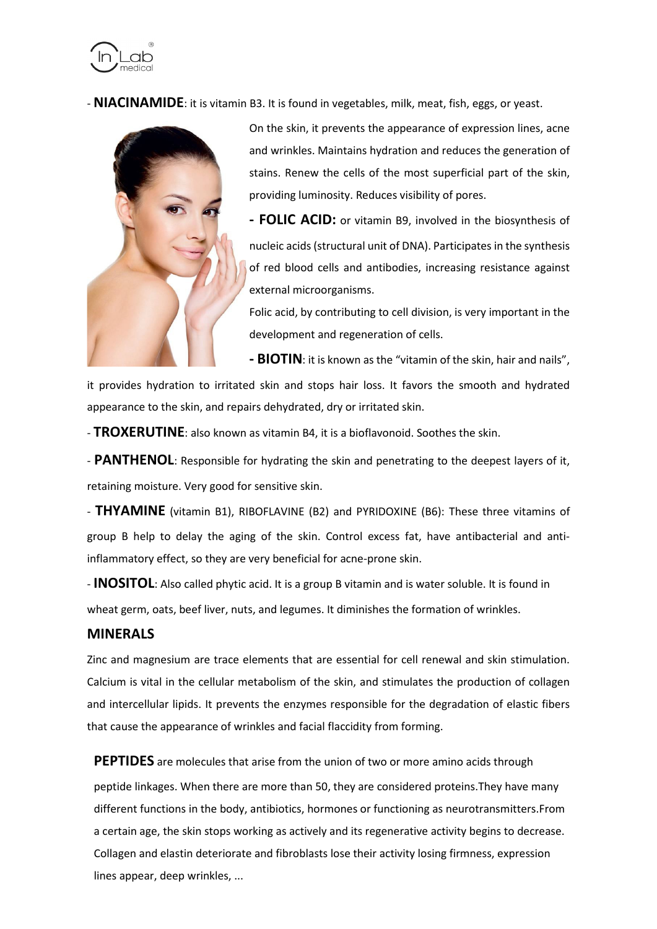

- **NIACINAMIDE**: it is vitamin B3. It is found in vegetables, milk, meat, fish, eggs, or yeast.



On the skin, it prevents the appearance of expression lines, acne and wrinkles. Maintains hydration and reduces the generation of stains. Renew the cells of the most superficial part of the skin, providing luminosity. Reduces visibility of pores.

**- FOLIC ACID:** or vitamin B9, involved in the biosynthesis of nucleic acids (structural unit of DNA). Participates in the synthesis of red blood cells and antibodies, increasing resistance against external microorganisms.

Folic acid, by contributing to cell division, is very important in the development and regeneration of cells.

**- BIOTIN**: it is known as the "vitamin of the skin, hair and nails",

it provides hydration to irritated skin and stops hair loss. It favors the smooth and hydrated appearance to the skin, and repairs dehydrated, dry or irritated skin.

- **TROXERUTINE**: also known as vitamin B4, it is a bioflavonoid. Soothes the skin.

- **PANTHENOL**: Responsible for hydrating the skin and penetrating to the deepest layers of it, retaining moisture. Very good for sensitive skin.

- **THYAMINE** (vitamin B1), RIBOFLAVINE (B2) and PYRIDOXINE (B6): These three vitamins of group B help to delay the aging of the skin. Control excess fat, have antibacterial and antiinflammatory effect, so they are very beneficial for acne-prone skin.

- **INOSITOL**: Also called phytic acid. It is a group B vitamin and is water soluble. It is found in wheat germ, oats, beef liver, nuts, and legumes. It diminishes the formation of wrinkles.

#### **MINERALS**

Zinc and magnesium are trace elements that are essential for cell renewal and skin stimulation. Calcium is vital in the cellular metabolism of the skin, and stimulates the production of collagen and intercellular lipids. It prevents the enzymes responsible for the degradation of elastic fibers that cause the appearance of wrinkles and facial flaccidity from forming.

**PEPTIDES** are molecules that arise from the union of two or more amino acids through peptide linkages. When there are more than 50, they are considered proteins.They have many different functions in the body, antibiotics, hormones or functioning as neurotransmitters.From a certain age, the skin stops working as actively and its regenerative activity begins to decrease. Collagen and elastin deteriorate and fibroblasts lose their activity losing firmness, expression lines appear, deep wrinkles, ...